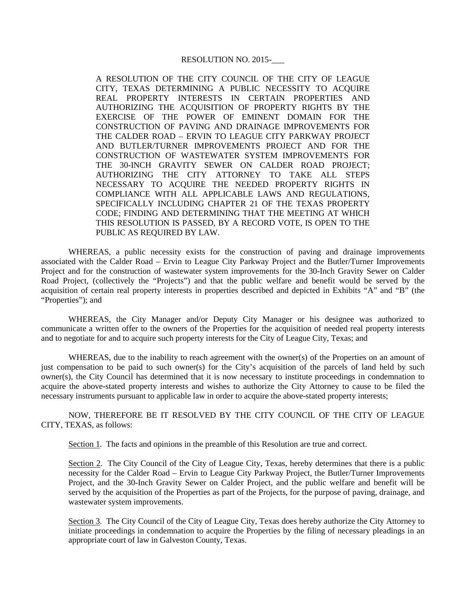## RESOLUTION NO. 2015-

A RESOLUTION OF THE CITY COUNCIL OF THE CITY OF LEAGUE CITY, TEXAS DETERMINING A PUBLIC NECESSITY TO ACQUIRE REAL PROPERTY INTERESTS IN CERTAIN PROPERTIES AND AUTHORIZING THE ACQUISITION OF PROPERTY RIGHTS BY THE EXERCISE OF THE POWER OF EMINENT DOMAIN FOR THE CONSTRUCTION OF PAVING AND DRAINAGE IMPROVEMENTS FOR THE CALDER ROAD – ERVIN TO LEAGUE CITY PARKWAY PROJECT AND BUTLER/TURNER IMPROVEMENTS PROJECT AND FOR THE CONSTRUCTION OF WASTEWATER SYSTEM IMPROVEMENTS FOR THE 30-INCH GRAVITY SEWER ON CALDER ROAD PROJECT; AUTHORIZING THE CITY ATTORNEY TO TAKE ALL STEPS NECESSARY TO ACQUIRE THE NEEDED PROPERTY RIGHTS IN COMPLIANCE WITH ALL APPLICABLE LAWS AND REGULATIONS, SPECIFICALLY INCLUDING CHAPTER 21 OF THE TEXAS PROPERTY CODE; FINDING AND DETERMINING THAT THE MEETING AT WHICH THIS RESOLUTION IS PASSED, BY A RECORD VOTE, IS OPEN TO THE PUBLIC AS REQUIRED BY LAW.

WHEREAS, a public necessity exists for the construction of paving and drainage improvements associated with the Calder Road – Ervin to League City Parkway Project and the Butler/Turner Improvements Project and for the construction of wastewater system improvements for the 30-Inch Gravity Sewer on Calder Road Project, (collectively the "Projects") and that the public welfare and benefit would be served by the acquisition of certain real property interests in properties described and depicted in Exhibits "A" and "B" (the "Properties"); and

WHEREAS, the City Manager and/or Deputy City Manager or his designee was authorized to communicate a written offer to the owners of the Properties for the acquisition of needed real property interests and to negotiate for and to acquire such property interests for the City of League City, Texas; and

WHEREAS, due to the inability to reach agreement with the owner(s) of the Properties on an amount of just compensation to be paid to such owner(s) for the City's acquisition of the parcels of land held by such owner(s), the City Council has determined that it is now necessary to institute proceedings in condemnation to acquire the above-stated property interests and wishes to authorize the City Attorney to cause to be filed the necessary instruments pursuant to applicable law in order to acquire the above-stated property interests;

NOW, THEREFORE BE IT RESOLVED BY THE CITY COUNCIL OF THE CITY OF LEAGUE CITY, TEXAS, as follows:

Section 1. The facts and opinions in the preamble of this Resolution are true and correct.

Section 2. The City Council of the City of League City, Texas, hereby determines that there is a public necessity for the Calder Road – Ervin to League City Parkway Project, the Butler/Turner Improvements Project, and the 30-Inch Gravity Sewer on Calder Project, and the public welfare and benefit will be served by the acquisition of the Properties as part of the Projects, for the purpose of paving, drainage, and wastewater system improvements.

Section 3. The City Council of the City of League City, Texas does hereby authorize the City Attorney to initiate proceedings in condemnation to acquire the Properties by the filing of necessary pleadings in an appropriate court of law in Galveston County, Texas.